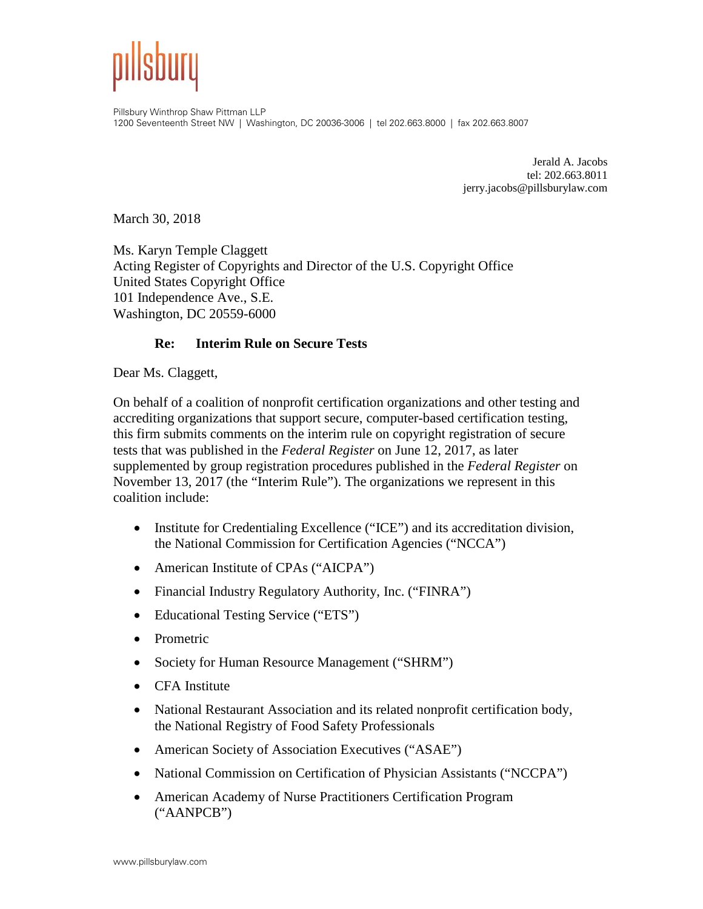

Pillsbury Winthrop Shaw Pittman LLP 1200 Seventeenth Street NW | Washington, DC 20036-3006 | tel 202.663.8000 | fax 202.663.8007

> Jerald A. Jacobs tel: 202.663.8011 jerry.jacobs@pillsburylaw.com

March 30, 2018

Ms. Karyn Temple Claggett Acting Register of Copyrights and Director of the U.S. Copyright Office United States Copyright Office 101 Independence Ave., S.E. Washington, DC 20559-6000

## **Re: Interim Rule on Secure Tests**

Dear Ms. Claggett,

On behalf of a coalition of nonprofit certification organizations and other testing and accrediting organizations that support secure, computer-based certification testing, this firm submits comments on the interim rule on copyright registration of secure tests that was published in the *Federal Register* on June 12, 2017, as later supplemented by group registration procedures published in the *Federal Register* on November 13, 2017 (the "Interim Rule"). The organizations we represent in this coalition include:

- Institute for Credentialing Excellence ("ICE") and its accreditation division, the National Commission for Certification Agencies ("NCCA")
- American Institute of CPAs ("AICPA")
- Financial Industry Regulatory Authority, Inc. ("FINRA")
- Educational Testing Service ("ETS")
- Prometric
- Society for Human Resource Management ("SHRM")
- CFA Institute
- National Restaurant Association and its related nonprofit certification body, the National Registry of Food Safety Professionals
- American Society of Association Executives ("ASAE")
- National Commission on Certification of Physician Assistants ("NCCPA")
- American Academy of Nurse Practitioners Certification Program ("AANPCB")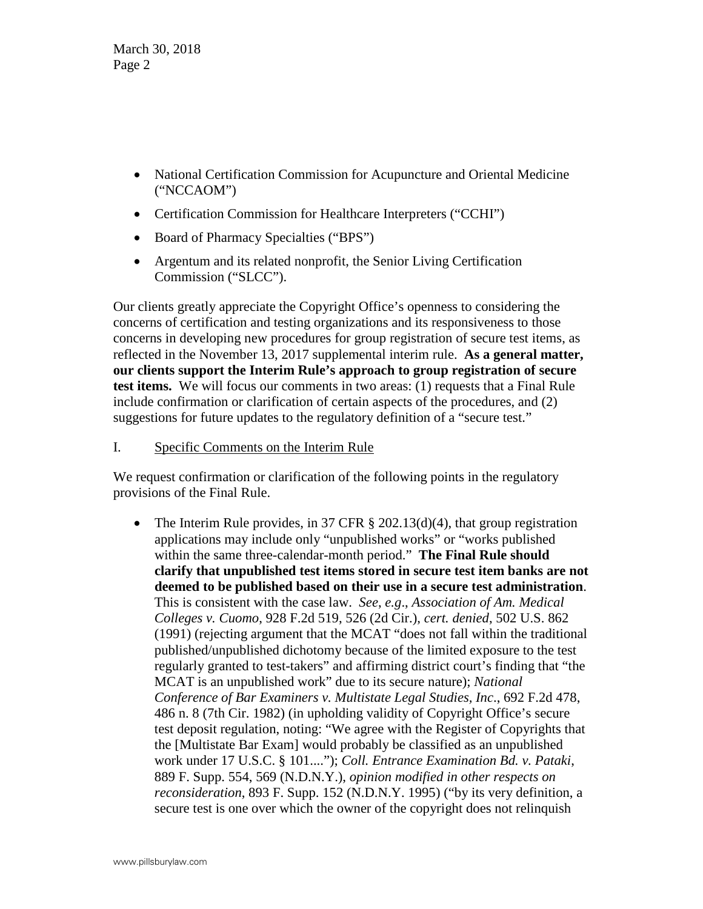March 30, 2018 Page 2

- National Certification Commission for Acupuncture and Oriental Medicine ("NCCAOM")
- Certification Commission for Healthcare Interpreters ("CCHI")
- Board of Pharmacy Specialties ("BPS")
- Argentum and its related nonprofit, the Senior Living Certification Commission ("SLCC").

Our clients greatly appreciate the Copyright Office's openness to considering the concerns of certification and testing organizations and its responsiveness to those concerns in developing new procedures for group registration of secure test items, as reflected in the November 13, 2017 supplemental interim rule. **As a general matter, our clients support the Interim Rule's approach to group registration of secure test items.** We will focus our comments in two areas: (1) requests that a Final Rule include confirmation or clarification of certain aspects of the procedures, and (2) suggestions for future updates to the regulatory definition of a "secure test."

I. Specific Comments on the Interim Rule

We request confirmation or clarification of the following points in the regulatory provisions of the Final Rule.

• The Interim Rule provides, in 37 CFR  $\S$  202.13(d)(4), that group registration applications may include only "unpublished works" or "works published within the same three-calendar-month period." **The Final Rule should clarify that unpublished test items stored in secure test item banks are not deemed to be published based on their use in a secure test administration**. This is consistent with the case law. *See*, *e.g*., *Association of Am. Medical Colleges v. Cuomo*, 928 F.2d 519, 526 (2d Cir.), *cert. denied*, 502 U.S. 862 (1991) (rejecting argument that the MCAT "does not fall within the traditional published/unpublished dichotomy because of the limited exposure to the test regularly granted to test-takers" and affirming district court's finding that "the MCAT is an unpublished work" due to its secure nature); *National Conference of Bar Examiners v. Multistate Legal Studies, Inc*., 692 F.2d 478, 486 n. 8 (7th Cir. 1982) (in upholding validity of Copyright Office's secure test deposit regulation, noting: "We agree with the Register of Copyrights that the [Multistate Bar Exam] would probably be classified as an unpublished work under 17 U.S.C. § 101...."); *Coll. Entrance Examination Bd. v. Pataki*, 889 F. Supp. 554, 569 (N.D.N.Y.), *opinion modified in other respects on reconsideration*, 893 F. Supp. 152 (N.D.N.Y. 1995) ("by its very definition, a secure test is one over which the owner of the copyright does not relinquish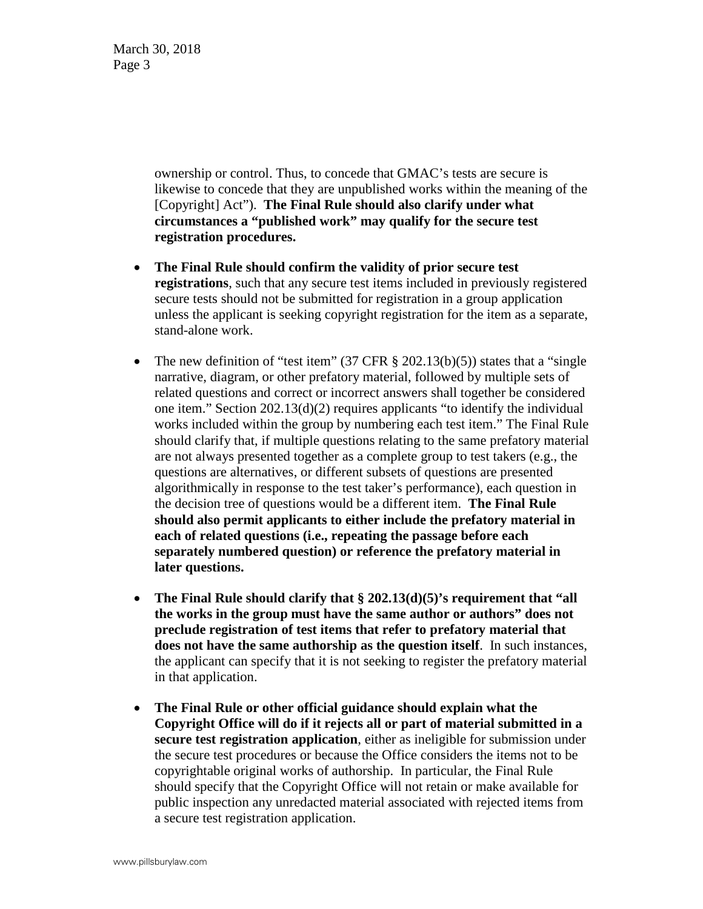ownership or control. Thus, to concede that GMAC's tests are secure is likewise to concede that they are unpublished works within the meaning of the [Copyright] Act"). **The Final Rule should also clarify under what circumstances a "published work" may qualify for the secure test registration procedures.**

- **The Final Rule should confirm the validity of prior secure test registrations**, such that any secure test items included in previously registered secure tests should not be submitted for registration in a group application unless the applicant is seeking copyright registration for the item as a separate, stand-alone work.
- The new definition of "test item" (37 CFR  $\S$  202.13(b)(5)) states that a "single narrative, diagram, or other prefatory material, followed by multiple sets of related questions and correct or incorrect answers shall together be considered one item." Section 202.13(d)(2) requires applicants "to identify the individual works included within the group by numbering each test item." The Final Rule should clarify that, if multiple questions relating to the same prefatory material are not always presented together as a complete group to test takers (e.g., the questions are alternatives, or different subsets of questions are presented algorithmically in response to the test taker's performance), each question in the decision tree of questions would be a different item. **The Final Rule should also permit applicants to either include the prefatory material in each of related questions (i.e., repeating the passage before each separately numbered question) or reference the prefatory material in later questions.**
- **The Final Rule should clarify that § 202.13(d)(5)'s requirement that "all the works in the group must have the same author or authors" does not preclude registration of test items that refer to prefatory material that does not have the same authorship as the question itself**. In such instances, the applicant can specify that it is not seeking to register the prefatory material in that application.
- **The Final Rule or other official guidance should explain what the Copyright Office will do if it rejects all or part of material submitted in a secure test registration application**, either as ineligible for submission under the secure test procedures or because the Office considers the items not to be copyrightable original works of authorship. In particular, the Final Rule should specify that the Copyright Office will not retain or make available for public inspection any unredacted material associated with rejected items from a secure test registration application.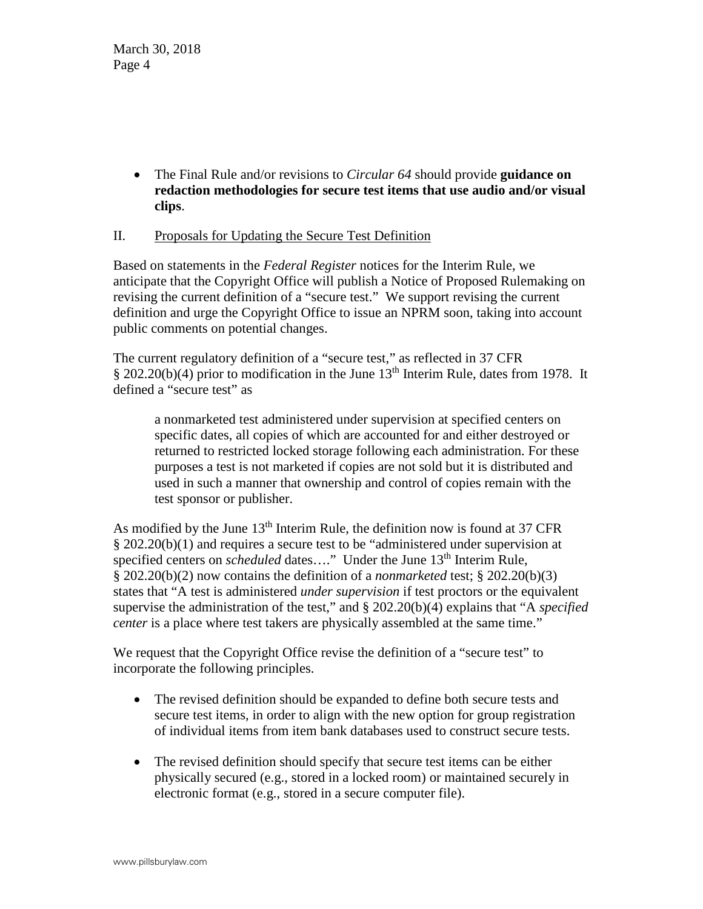• The Final Rule and/or revisions to *Circular 64* should provide **guidance on redaction methodologies for secure test items that use audio and/or visual clips**.

## II. Proposals for Updating the Secure Test Definition

Based on statements in the *Federal Register* notices for the Interim Rule, we anticipate that the Copyright Office will publish a Notice of Proposed Rulemaking on revising the current definition of a "secure test." We support revising the current definition and urge the Copyright Office to issue an NPRM soon, taking into account public comments on potential changes.

The current regulatory definition of a "secure test," as reflected in 37 CFR  $\S 202.20(b)(4)$  prior to modification in the June 13<sup>th</sup> Interim Rule, dates from 1978. It defined a "secure test" as

a nonmarketed test administered under supervision at specified centers on specific dates, all copies of which are accounted for and either destroyed or returned to restricted locked storage following each administration. For these purposes a test is not marketed if copies are not sold but it is distributed and used in such a manner that ownership and control of copies remain with the test sponsor or publisher.

As modified by the June 13<sup>th</sup> Interim Rule, the definition now is found at 37 CFR § 202.20(b)(1) and requires a secure test to be "administered under supervision at specified centers on *scheduled* dates...." Under the June 13<sup>th</sup> Interim Rule, § 202.20(b)(2) now contains the definition of a *nonmarketed* test; § 202.20(b)(3) states that "A test is administered *under supervision* if test proctors or the equivalent supervise the administration of the test," and § 202.20(b)(4) explains that "A *specified center* is a place where test takers are physically assembled at the same time."

We request that the Copyright Office revise the definition of a "secure test" to incorporate the following principles.

- The revised definition should be expanded to define both secure tests and secure test items, in order to align with the new option for group registration of individual items from item bank databases used to construct secure tests.
- The revised definition should specify that secure test items can be either physically secured (e.g., stored in a locked room) or maintained securely in electronic format (e.g., stored in a secure computer file).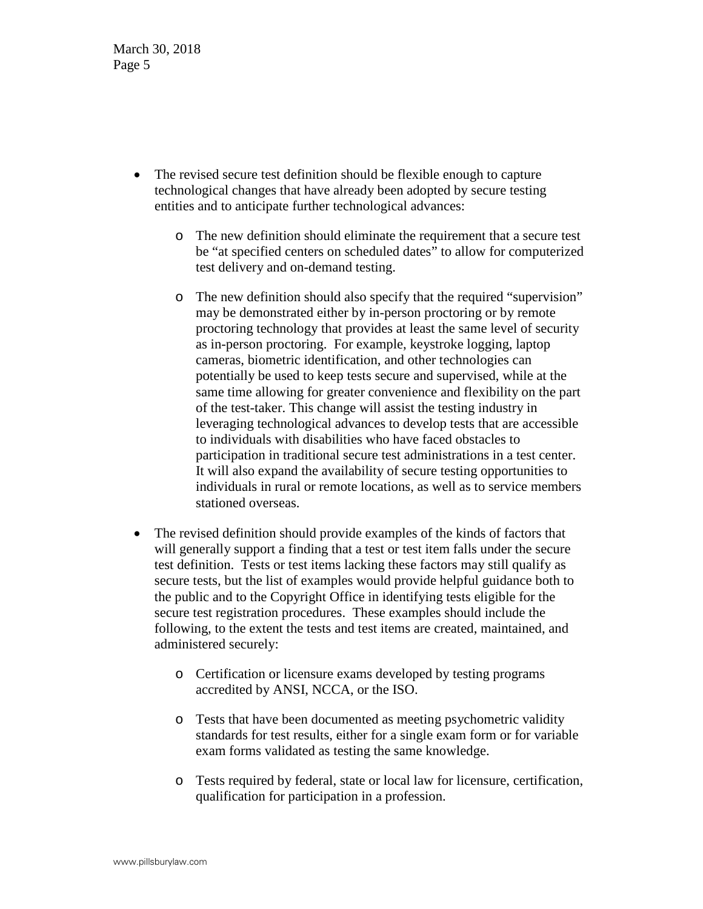March 30, 2018 Page 5

- The revised secure test definition should be flexible enough to capture technological changes that have already been adopted by secure testing entities and to anticipate further technological advances:
	- o The new definition should eliminate the requirement that a secure test be "at specified centers on scheduled dates" to allow for computerized test delivery and on-demand testing.
	- o The new definition should also specify that the required "supervision" may be demonstrated either by in-person proctoring or by remote proctoring technology that provides at least the same level of security as in-person proctoring. For example, keystroke logging, laptop cameras, biometric identification, and other technologies can potentially be used to keep tests secure and supervised, while at the same time allowing for greater convenience and flexibility on the part of the test-taker. This change will assist the testing industry in leveraging technological advances to develop tests that are accessible to individuals with disabilities who have faced obstacles to participation in traditional secure test administrations in a test center. It will also expand the availability of secure testing opportunities to individuals in rural or remote locations, as well as to service members stationed overseas.
- The revised definition should provide examples of the kinds of factors that will generally support a finding that a test or test item falls under the secure test definition. Tests or test items lacking these factors may still qualify as secure tests, but the list of examples would provide helpful guidance both to the public and to the Copyright Office in identifying tests eligible for the secure test registration procedures. These examples should include the following, to the extent the tests and test items are created, maintained, and administered securely:
	- o Certification or licensure exams developed by testing programs accredited by ANSI, NCCA, or the ISO.
	- o Tests that have been documented as meeting psychometric validity standards for test results, either for a single exam form or for variable exam forms validated as testing the same knowledge.
	- o Tests required by federal, state or local law for licensure, certification, qualification for participation in a profession.